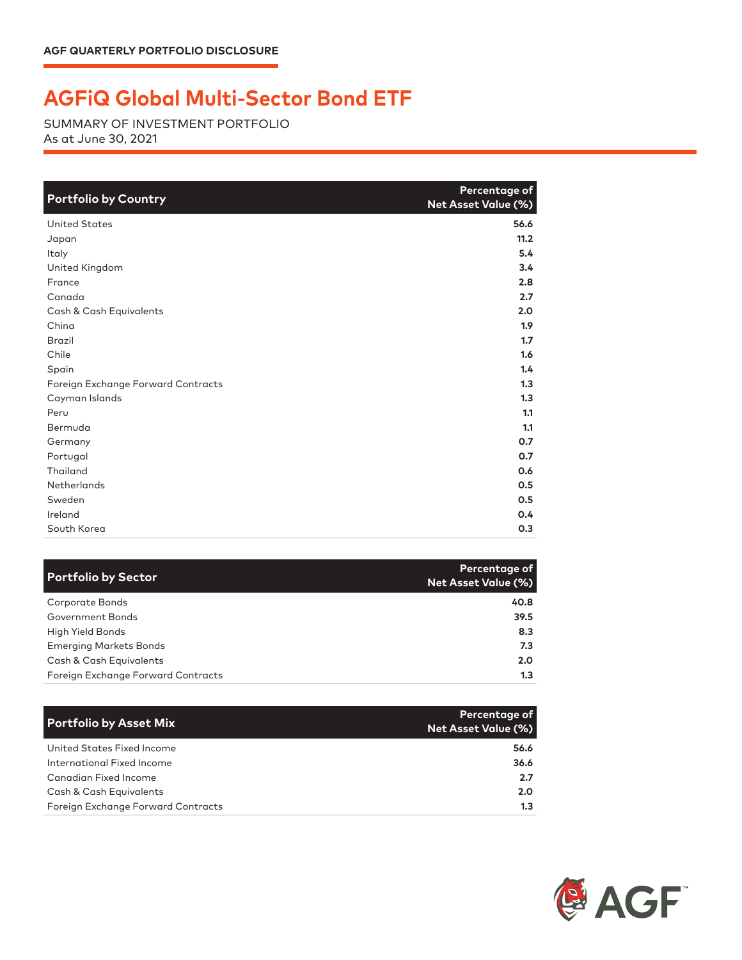## **AGFiQ Global Multi-Sector Bond ETF**

SUMMARY OF INVESTMENT PORTFOLIO As at June 30, 2021

| <b>Portfolio by Country</b>        | Percentage of<br><b>Net Asset Value (%)</b> |
|------------------------------------|---------------------------------------------|
| <b>United States</b>               | 56.6                                        |
| Japan                              | 11.2                                        |
| Italy                              | 5.4                                         |
| United Kingdom                     | 3.4                                         |
| France                             | 2.8                                         |
| Canada                             | 2.7                                         |
| Cash & Cash Equivalents            | 2.0                                         |
| China                              | 1.9                                         |
| <b>Brazil</b>                      | 1.7                                         |
| Chile                              | 1.6                                         |
| Spain                              | 1.4                                         |
| Foreign Exchange Forward Contracts | 1.3                                         |
| Cayman Islands                     | 1.3                                         |
| Peru                               | 1.1                                         |
| Bermuda                            | 1.1                                         |
| Germany                            | O.7                                         |
| Portugal                           | 0.7                                         |
| Thailand                           | 0.6                                         |
| <b>Netherlands</b>                 | 0.5                                         |
| Sweden                             | 0.5                                         |
| Ireland                            | 0.4                                         |
| South Korea                        | 0.3                                         |

| <b>Portfolio by Sector</b>         | Percentage of<br>Net Asset Value (%) |
|------------------------------------|--------------------------------------|
| Corporate Bonds                    | 40.8                                 |
| Government Bonds                   | 39.5                                 |
| <b>High Yield Bonds</b>            | 8.3                                  |
| <b>Emerging Markets Bonds</b>      | 7.3                                  |
| Cash & Cash Equivalents            | 2.0 <sub>2</sub>                     |
| Foreign Exchange Forward Contracts | 1.3                                  |

| <b>Portfolio by Asset Mix</b>      | Percentage of<br><b>Net Asset Value (%)</b> |
|------------------------------------|---------------------------------------------|
| United States Fixed Income         | 56.6                                        |
| International Fixed Income         | 36.6                                        |
| Canadian Fixed Income              | 2.7                                         |
| Cash & Cash Equivalents            | 2.0                                         |
| Foreign Exchange Forward Contracts | 1.3                                         |